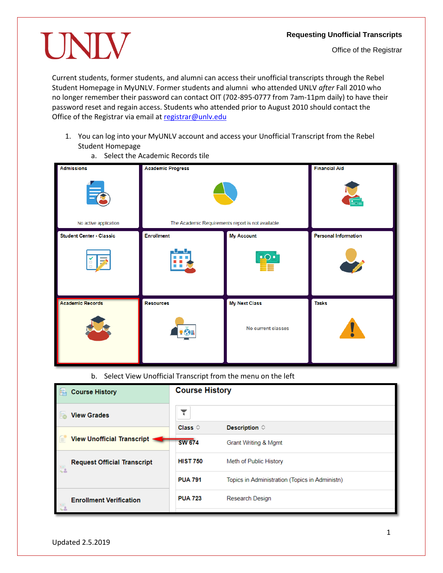## **Requesting Unofficial Transcripts**

## UNIV

Current students, former students, and alumni can access their unofficial transcripts through the Rebel Student Homepage in MyUNLV. Former students and alumni who attended UNLV *after* Fall 2010 who no longer remember their password can contact OIT (702-895-0777 from 7am-11pm daily) to have their password reset and regain access. Students who attended prior to August 2010 should contact the Office of the Registrar via email a[t registrar@unlv.edu](mailto:registrar@unlv.edu)

1. You can log into your MyUNLV account and access your Unofficial Transcript from the Rebel Student Homepage

| <b>Admissions</b>                 | <b>Academic Progress</b>                           |                      | <b>Financial Aid</b>        |
|-----------------------------------|----------------------------------------------------|----------------------|-----------------------------|
| $\equiv$<br>No active application | The Academic Requirements report is not available. |                      | $\overline{\Xi_{\Omega}}$   |
| <b>Student Center - Classic</b>   | <b>Enrollment</b>                                  | <b>My Account</b>    | <b>Personal Information</b> |
| $\rightarrow$<br>o                |                                                    | $\cdot$ $\circ$      |                             |
| <b>Academic Records</b>           | <b>Resources</b>                                   | <b>My Next Class</b> | <b>Tasks</b>                |
|                                   |                                                    | No current classes   | Ï                           |

a. Select the Academic Records tile

b. Select View Unofficial Transcript from the menu on the left

| <b>Course History</b>              | <b>Course History</b> |                                                |
|------------------------------------|-----------------------|------------------------------------------------|
| <b>View Grades</b>                 |                       |                                                |
|                                    | Class $\diamond$      | Description $\Diamond$                         |
| <b>View Unofficial Transcript</b>  | <b>SW 674</b>         | Grant Writing & Mgmt                           |
| <b>Request Official Transcript</b> | <b>HIST 750</b>       | Meth of Public History                         |
|                                    | <b>PUA 791</b>        | Topics in Administration (Topics in Administn) |
| <b>Enrollment Verification</b>     | <b>PUA 723</b>        | <b>Research Design</b>                         |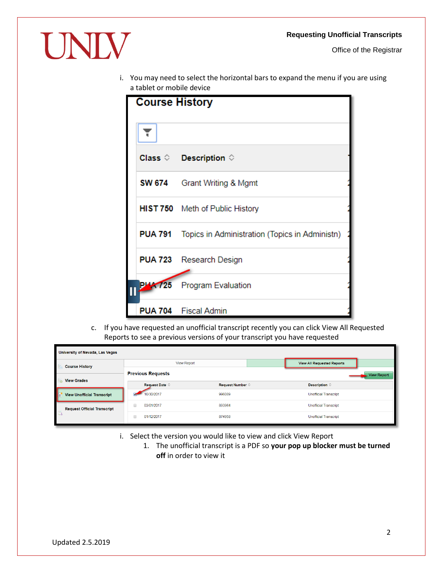Office of the Registrar



i. You may need to select the horizontal bars to expand the menu if you are using a tablet or mobile device

| <b>Course History</b>                                         |
|---------------------------------------------------------------|
|                                                               |
| Class $\Diamond$ Description $\Diamond$                       |
| <b>SW 674</b> Grant Writing & Mgmt                            |
| HIST 750 Meth of Public History                               |
| <b>PUA 791</b> Topics in Administration (Topics in Administn) |
| <b>PUA 723</b> Research Design                                |
| <b>PLA 725</b> Program Evaluation                             |
| <b>PUA 704</b> Fiscal Admin                                   |

c. If you have requested an unofficial transcript recently you can click View All Requested Reports to see a previous versions of your transcript you have requested

| University of Nevada, Las Vegas    |                          |                           |                                   |                              |                    |
|------------------------------------|--------------------------|---------------------------|-----------------------------------|------------------------------|--------------------|
| <b>Course History</b>              | <b>View Report</b>       |                           | <b>View All Requested Reports</b> |                              |                    |
|                                    | <b>Previous Requests</b> |                           |                                   |                              | <b>View Report</b> |
| <b>View Grades</b>                 | Request Date $\Diamond$  | Request Number $\diamond$ |                                   | Description $\diamond$       |                    |
| <b>View Unofficial Transcript</b>  | 10/30/2017               | 996089                    |                                   | <b>Unofficial Transcript</b> |                    |
| <b>Request Official Transcript</b> | 03/01/2017               | 893964                    |                                   | <b>Unofficial Transcript</b> |                    |
| $-6.5$                             | 01/12/2017               | 874958                    |                                   | <b>Unofficial Transcript</b> |                    |

- i. Select the version you would like to view and click View Report
	- 1. The unofficial transcript is a PDF so **your pop up blocker must be turned off** in order to view it